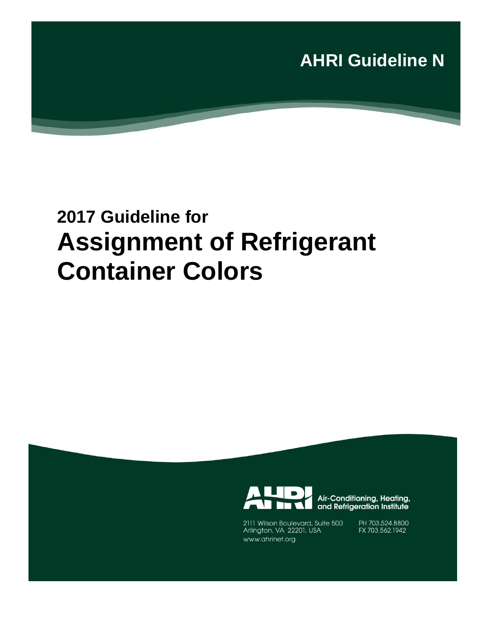

# **2017 Guideline for Assignment of Refrigerant Container Colors**



2111 Wilson Boulevard, Suite 500 Arlington, VA 22201, USA www.ahrinet.org

and Refrigeration Institute PH 703.524.8800 FX 703.562.1942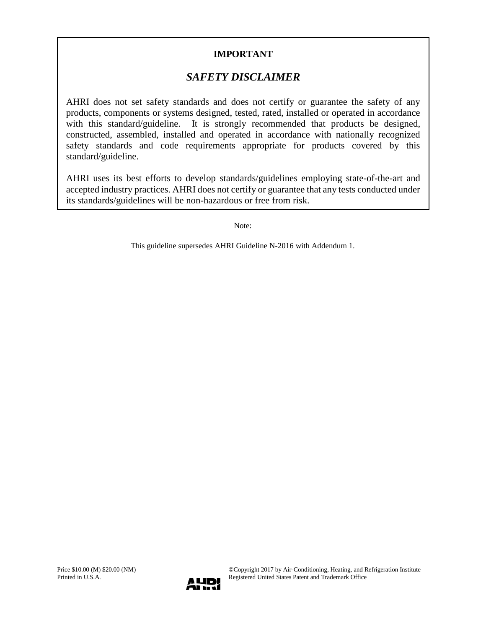### **IMPORTANT**

### *SAFETY DISCLAIMER*

AHRI does not set safety standards and does not certify or guarantee the safety of any products, components or systems designed, tested, rated, installed or operated in accordance with this standard/guideline. It is strongly recommended that products be designed, constructed, assembled, installed and operated in accordance with nationally recognized safety standards and code requirements appropriate for products covered by this standard/guideline.

AHRI uses its best efforts to develop standards/guidelines employing state-of-the-art and accepted industry practices. AHRI does not certify or guarantee that any tests conducted under its standards/guidelines will be non-hazardous or free from risk.

Note:

This guideline supersedes AHRI Guideline N-2016 with Addendum 1.

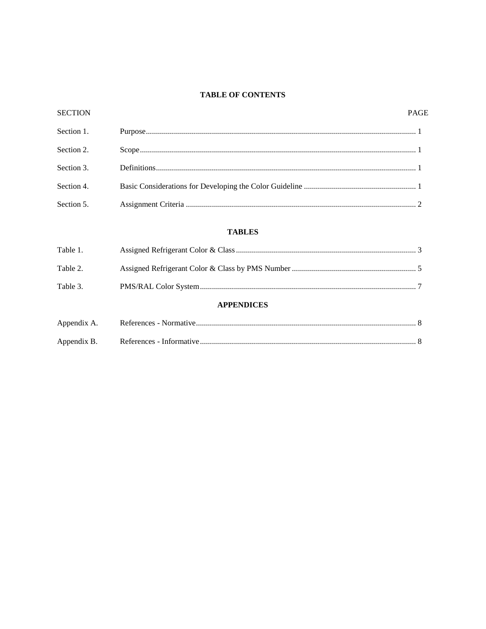#### TABLE OF CONTENTS

| <b>SECTION</b> |                   | <b>PAGE</b> |
|----------------|-------------------|-------------|
| Section 1.     |                   |             |
| Section 2.     |                   |             |
| Section 3.     |                   |             |
| Section 4.     |                   |             |
| Section 5.     |                   |             |
|                | <b>TABLES</b>     |             |
| Table 1.       |                   |             |
| Table 2.       |                   |             |
| Table 3.       |                   |             |
|                | <b>APPENDICES</b> |             |
| Appendix A.    |                   |             |

| Appendix A. |  |
|-------------|--|
| Appendix B. |  |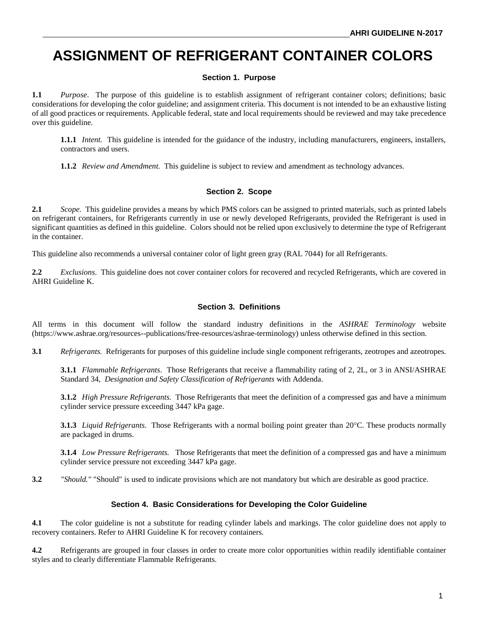## **ASSIGNMENT OF REFRIGERANT CONTAINER COLORS**

#### **Section 1. Purpose**

**1.1** *Purpose*. The purpose of this guideline is to establish assignment of refrigerant container colors; definitions; basic considerations for developing the color guideline; and assignment criteria. This document is not intended to be an exhaustive listing of all good practices or requirements. Applicable federal, state and local requirements should be reviewed and may take precedence over this guideline.

**1.1.1** *Intent.* This guideline is intended for the guidance of the industry, including manufacturers, engineers, installers, contractors and users.

**1.1.2** *Review and Amendment.* This guideline is subject to review and amendment as technology advances.

#### **Section 2. Scope**

**2.1** *Scope.* This guideline provides a means by which PMS colors can be assigned to printed materials, such as printed labels on refrigerant containers, for Refrigerants currently in use or newly developed Refrigerants, provided the Refrigerant is used in significant quantities as defined in this guideline. Colors should not be relied upon exclusively to determine the type of Refrigerant in the container.

This guideline also recommends a universal container color of light green gray (RAL 7044) for all Refrigerants.

**2.2** *Exclusions*. This guideline does not cover container colors for recovered and recycled Refrigerants, which are covered in AHRI Guideline K.

#### **Section 3. Definitions**

All terms in this document will follow the standard industry definitions in the *ASHRAE Terminology* website (https://www.ashrae.org/resources--publications/free-resources/ashrae-terminology) unless otherwise defined in this section.

**3.1** *Refrigerants.* Refrigerants for purposes of this guideline include single component refrigerants, zeotropes and azeotropes.

**3.1.1** *Flammable Refrigerants*. Those Refrigerants that receive a flammability rating of 2, 2L, or 3 in ANSI/ASHRAE Standard 34, *Designation and Safety Classification of Refrigerants* with Addenda.

**3.1.2** *High Pressure Refrigerants.* Those Refrigerants that meet the definition of a compressed gas and have a minimum cylinder service pressure exceeding 3447 kPa gage.

**3.1.3** *Liquid Refrigerants*. Those Refrigerants with a normal boiling point greater than  $20^{\circ}$ C. These products normally are packaged in drums.

**3.1.4** *Low Pressure Refrigerants.* Those Refrigerants that meet the definition of a compressed gas and have a minimum cylinder service pressure not exceeding 3447 kPa gage.

**3.2** *"Should."* "Should" is used to indicate provisions which are not mandatory but which are desirable as good practice.

#### **Section 4. Basic Considerations for Developing the Color Guideline**

**4.1** The color guideline is not a substitute for reading cylinder labels and markings. The color guideline does not apply to recovery containers. Refer to AHRI Guideline K for recovery containers.

**4.2** Refrigerants are grouped in four classes in order to create more color opportunities within readily identifiable container styles and to clearly differentiate Flammable Refrigerants.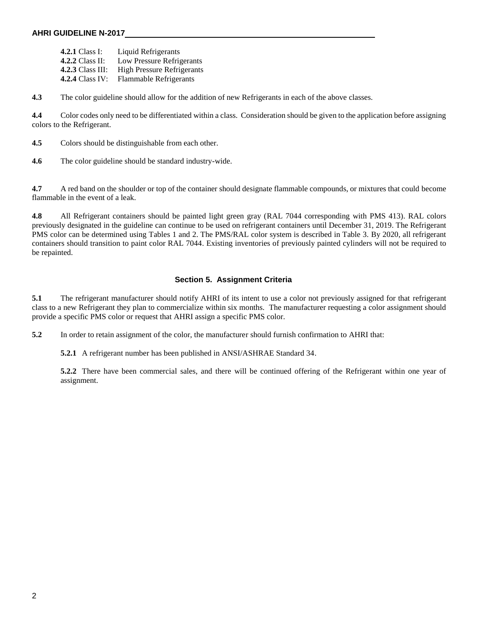#### **AHRI GUIDELINE N-2017**

**4.2.1** Class I: Liquid Refrigerants **4.2.2** Class II: Low Pressure Refrigerants **4.2.3** Class III: High Pressure Refrigerants **4.2.4** Class IV: Flammable Refrigerants

**4.3** The color guideline should allow for the addition of new Refrigerants in each of the above classes.

**4.4** Color codes only need to be differentiated within a class. Consideration should be given to the application before assigning colors to the Refrigerant.

**4.5** Colors should be distinguishable from each other.

**4.6** The color guideline should be standard industry-wide.

**4.7** A red band on the shoulder or top of the container should designate flammable compounds, or mixtures that could become flammable in the event of a leak.

**4.8** All Refrigerant containers should be painted light green gray (RAL 7044 corresponding with PMS 413). RAL colors previously designated in the guideline can continue to be used on refrigerant containers until December 31, 2019. The Refrigerant PMS color can be determined using Tables 1 and 2. The PMS/RAL color system is described in Table 3. By 2020, all refrigerant containers should transition to paint color RAL 7044. Existing inventories of previously painted cylinders will not be required to be repainted.

#### **Section 5. Assignment Criteria**

**5.1** The refrigerant manufacturer should notify AHRI of its intent to use a color not previously assigned for that refrigerant class to a new Refrigerant they plan to commercialize within six months. The manufacturer requesting a color assignment should provide a specific PMS color or request that AHRI assign a specific PMS color.

**5.2** In order to retain assignment of the color, the manufacturer should furnish confirmation to AHRI that:

**5.2.1** A refrigerant number has been published in ANSI/ASHRAE Standard 34.

**5.2.2** There have been commercial sales, and there will be continued offering of the Refrigerant within one year of assignment.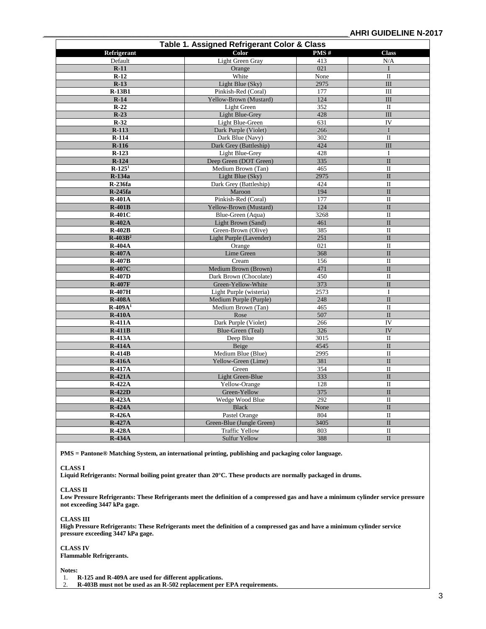| Table 1. Assigned Refrigerant Color & Class |                           |      |                         |  |  |  |
|---------------------------------------------|---------------------------|------|-------------------------|--|--|--|
| Refrigerant                                 | Color                     | PMS# | <b>Class</b>            |  |  |  |
| Default                                     | Light Green Gray          | 413  | N/A                     |  |  |  |
| $R-11$                                      | Orange                    | 021  | I                       |  |  |  |
| $R-12$                                      | White                     | None | $\mathbf{I}$            |  |  |  |
| $R-13$                                      | Light Blue (Sky)          | 2975 | III                     |  |  |  |
| $R-13B1$                                    | Pinkish-Red (Coral)       | 177  | III                     |  |  |  |
| $R-14$                                      | Yellow-Brown (Mustard)    | 124  | III                     |  |  |  |
| $R-22$                                      | Light Green               | 352  | $\mathbf{I}$            |  |  |  |
| $R-23$                                      | <b>Light Blue-Grey</b>    | 428  | III                     |  |  |  |
| $R-32$                                      | Light Blue-Green          | 631  | IV                      |  |  |  |
| $R-113$                                     | Dark Purple (Violet)      | 266  | $\mathbf I$             |  |  |  |
| $R-114$                                     | Dark Blue (Navy)          | 302  | $\mathbf{I}$            |  |  |  |
| $R-116$                                     | Dark Grey (Battleship)    | 424  | III                     |  |  |  |
| $R-123$                                     | Light Blue-Grey           | 428  | $\mathbf I$             |  |  |  |
| $R-124$                                     | Deep Green (DOT Green)    | 335  | $\mathbf{I}$            |  |  |  |
| $R-1251$                                    | Medium Brown (Tan)        | 465  | $\mathbf{I}$            |  |  |  |
| R-134a                                      | Light Blue (Sky)          | 2975 | $\mathbf{I}$            |  |  |  |
| <b>R-236fa</b>                              | Dark Grey (Battleship)    | 424  | $\mathbf{I}$            |  |  |  |
| <b>R-245fa</b>                              | Maroon                    | 194  | $\mathbf{I}$            |  |  |  |
| <b>R-401A</b>                               | Pinkish-Red (Coral)       | 177  | $\mathbf{I}$            |  |  |  |
| $R-401B$                                    | Yellow-Brown (Mustard)    | 124  | $\mathbf{I}$            |  |  |  |
| $R-401C$                                    | Blue-Green (Aqua)         | 3268 | $\mathbf{I}$            |  |  |  |
| <b>R-402A</b>                               | Light Brown (Sand)        | 461  | $\mathbf{I}$            |  |  |  |
| $R-402B$                                    | Green-Brown (Olive)       | 385  | $\rm II$                |  |  |  |
| $R - 403B^2$                                | Light Purple (Lavender)   | 251  | $\mathbf{I}$            |  |  |  |
| <b>R-404A</b>                               |                           | 021  | $\Pi$                   |  |  |  |
| <b>R-407A</b>                               | Orange                    | 368  | $\mathbf{I}$            |  |  |  |
|                                             | Lime Green                | 156  | $\mathbf{I}$            |  |  |  |
| $R-407B$<br><b>R-407C</b>                   | Cream                     | 471  | $\mathbf{I}$            |  |  |  |
|                                             | Medium Brown (Brown)      | 450  | $\mathbf{I}$            |  |  |  |
| <b>R-407D</b>                               | Dark Brown (Chocolate)    |      | $\overline{\mathbf{I}}$ |  |  |  |
| <b>R-407F</b>                               | Green-Yellow-White        | 373  |                         |  |  |  |
| <b>R-407H</b>                               | Light Purple (wisteria)   | 2573 | I                       |  |  |  |
| <b>R-408A</b>                               | Medium Purple (Purple)    | 248  | $\mathbf{I}$            |  |  |  |
| $R-409A1$                                   | Medium Brown (Tan)        | 465  | $\mathbf{I}$            |  |  |  |
| <b>R-410A</b>                               | Rose                      | 507  | $\mathbf{I}$            |  |  |  |
| <b>R-411A</b>                               | Dark Purple (Violet)      | 266  | IV                      |  |  |  |
| $R-411B$                                    | Blue-Green (Teal)         | 326  | IV                      |  |  |  |
| <b>R-413A</b>                               | Deep Blue                 | 3015 | $\mathbf{I}$            |  |  |  |
| <b>R-414A</b>                               | Beige                     | 4545 | $\mathbf{I}$            |  |  |  |
| $R-414B$                                    | Medium Blue (Blue)        | 2995 | $\mathbf{I}$            |  |  |  |
| <b>R-416A</b>                               | Yellow-Green (Lime)       | 381  | $\mathbf{I}$            |  |  |  |
| $R-417A$                                    | Green                     | 354  | $\mathbf{I}$            |  |  |  |
| <b>R-421A</b>                               | Light Green-Blue          | 333  | $\mathbf{I}$            |  |  |  |
| <b>R-422A</b>                               | Yellow-Orange             | 128  | $\mathbf{I}$            |  |  |  |
| <b>R-422D</b>                               | Green-Yellow              | 375  | $\mathbf{I}$            |  |  |  |
| <b>R-423A</b>                               | Wedge Wood Blue           | 292  | $\mathbf{I}$            |  |  |  |
| <b>R-424A</b>                               | Black                     | None | $\mathbf{I}$            |  |  |  |
| <b>R-426A</b>                               | Pastel Orange             | 804  | $\mathbf{I}$            |  |  |  |
| <b>R-427A</b>                               | Green-Blue (Jungle Green) | 3405 | $\mathbf{I}$            |  |  |  |
| <b>R-428A</b>                               | <b>Traffic Yellow</b>     | 803  | $\mathbf{I}$            |  |  |  |
| <b>R-434A</b>                               | <b>Sulfur Yellow</b>      | 388  | $\mathbf{I}$            |  |  |  |

**PMS = Pantone® Matching System, an international printing, publishing and packaging color language.**

#### **CLASS I**

**Liquid Refrigerants: Normal boiling point greater than 20°C. These products are normally packaged in drums.**

#### **CLASS II**

**Low Pressure Refrigerants: These Refrigerants meet the definition of a compressed gas and have a minimum cylinder service pressure not exceeding 3447 kPa gage.**

#### **CLASS III**

**High Pressure Refrigerants: These Refrigerants meet the definition of a compressed gas and have a minimum cylinder service pressure exceeding 3447 kPa gage.**

#### **CLASS IV Flammable Refrigerants.**

**Notes:**

1. **R-125 and R-409A are used for different applications.**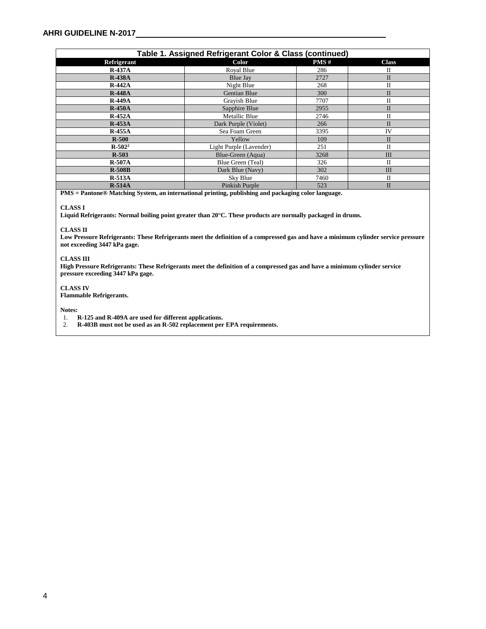| Table 1. Assigned Refrigerant Color & Class (continued) |                         |      |              |  |  |
|---------------------------------------------------------|-------------------------|------|--------------|--|--|
| Refrigerant                                             | Color                   | PMS# | <b>Class</b> |  |  |
| $R-437A$                                                | Royal Blue              | 286  | П            |  |  |
| <b>R-438A</b>                                           | Blue Jay                | 2727 | $\mathbf{I}$ |  |  |
| $R-442A$                                                | Night Blue              | 268  | $\mathbf{I}$ |  |  |
| <b>R-448A</b>                                           | <b>Gentian Blue</b>     | 300  | $\mathbf{I}$ |  |  |
| <b>R-449A</b>                                           | Grayish Blue            | 7707 | $\mathbf{I}$ |  |  |
| $R-450A$                                                | Sapphire Blue           | 2955 | $\mathbf{I}$ |  |  |
| $R-452A$                                                | Metallic Blue           | 2746 | $\mathbf{I}$ |  |  |
| $R-453A$                                                | Dark Purple (Violet)    | 266  | $\mathbf{I}$ |  |  |
| $R-455A$                                                | Sea Foam Green          | 3395 | IV           |  |  |
| $R-500$                                                 | Yellow                  | 109  | $\mathbf{H}$ |  |  |
| $R - 502^2$                                             | Light Purple (Lavender) | 251  | $\mathbf{I}$ |  |  |
| $R - 503$                                               | Blue-Green (Aqua)       | 3268 | III          |  |  |
| $R-507A$                                                | Blue Green (Teal)       | 326  | $_{\rm II}$  |  |  |
| $R-508B$                                                | Dark Blue (Navy)        | 302  | III          |  |  |
| $R-513A$                                                | Sky Blue                | 7460 | П            |  |  |
| $R-514A$                                                | Pinkish Purple          | 523  | $\mathbf{I}$ |  |  |

**PMS = Pantone® Matching System, an international printing, publishing and packaging color language.**

#### **CLASS I**

**Liquid Refrigerants: Normal boiling point greater than 20°C. These products are normally packaged in drums.**

#### **CLASS II**

**Low Pressure Refrigerants: These Refrigerants meet the definition of a compressed gas and have a minimum cylinder service pressure not exceeding 3447 kPa gage.**

#### **CLASS III**

**High Pressure Refrigerants: These Refrigerants meet the definition of a compressed gas and have a minimum cylinder service pressure exceeding 3447 kPa gage.**

**CLASS IV Flammable Refrigerants.**

**Notes:**

1. **R-125 and R-409A are used for different applications.**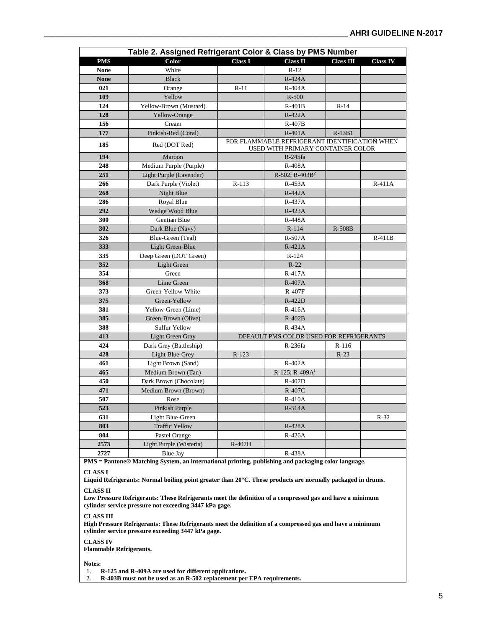|                                                                                                     | Table 2. Assigned Refrigerant Color & Class by PMS Number |                |                                                                                    |                  |                 |
|-----------------------------------------------------------------------------------------------------|-----------------------------------------------------------|----------------|------------------------------------------------------------------------------------|------------------|-----------------|
| <b>PMS</b>                                                                                          | Color                                                     | <b>Class I</b> | <b>Class II</b>                                                                    | <b>Class III</b> | <b>Class IV</b> |
| <b>None</b>                                                                                         | White                                                     |                | $R-12$                                                                             |                  |                 |
| <b>None</b>                                                                                         | <b>Black</b>                                              |                | $R-424A$                                                                           |                  |                 |
| 021                                                                                                 | Orange                                                    | $R-11$         | $R-404A$                                                                           |                  |                 |
| 109                                                                                                 | Yellow                                                    |                | $R-500$                                                                            |                  |                 |
| 124                                                                                                 | Yellow-Brown (Mustard)                                    |                | $R-401B$                                                                           | $R-14$           |                 |
| 128                                                                                                 | Yellow-Orange                                             |                | $R-422A$                                                                           |                  |                 |
| 156                                                                                                 | Cream                                                     |                | $R-407B$                                                                           |                  |                 |
| 177                                                                                                 | Pinkish-Red (Coral)                                       |                | $R-401A$                                                                           | $R-13B1$         |                 |
| 185                                                                                                 | Red (DOT Red)                                             |                | FOR FLAMMABLE REFRIGERANT IDENTIFICATION WHEN<br>USED WITH PRIMARY CONTAINER COLOR |                  |                 |
| 194                                                                                                 | Maroon                                                    |                | R-245fa                                                                            |                  |                 |
| 248                                                                                                 | Medium Purple (Purple)                                    |                | <b>R-408A</b>                                                                      |                  |                 |
| 251                                                                                                 | Light Purple (Lavender)                                   |                | $R-502$ ; $R-403B2$                                                                |                  |                 |
| 266                                                                                                 | Dark Purple (Violet)                                      | $R-113$        | $R-453A$                                                                           |                  | $R-411A$        |
| 268                                                                                                 | Night Blue                                                |                | $R-442A$                                                                           |                  |                 |
| 286                                                                                                 | Royal Blue                                                |                | $R-437A$                                                                           |                  |                 |
| 292                                                                                                 | Wedge Wood Blue                                           |                | $R-423A$                                                                           |                  |                 |
| 300                                                                                                 | Gentian Blue                                              |                | R-448A                                                                             |                  |                 |
| 302                                                                                                 | Dark Blue (Navy)                                          |                | $R-114$                                                                            | R-508B           |                 |
| 326                                                                                                 | Blue-Green (Teal)                                         |                | R-507A                                                                             |                  | $R-411B$        |
| 333                                                                                                 | Light Green-Blue                                          |                | $R-421A$                                                                           |                  |                 |
| 335                                                                                                 | Deep Green (DOT Green)                                    |                | $R-124$                                                                            |                  |                 |
| 352                                                                                                 | Light Green                                               |                | $R-22$                                                                             |                  |                 |
| 354                                                                                                 | Green                                                     |                | R-417A                                                                             |                  |                 |
| 368                                                                                                 | Lime Green                                                |                | R-407A                                                                             |                  |                 |
| 373                                                                                                 | Green-Yellow-White                                        |                | <b>R-407F</b>                                                                      |                  |                 |
| 375                                                                                                 | Green-Yellow                                              |                | R-422D                                                                             |                  |                 |
| 381                                                                                                 | Yellow-Green (Lime)                                       |                | $R-416A$                                                                           |                  |                 |
| 385                                                                                                 | Green-Brown (Olive)                                       |                | $R-402B$                                                                           |                  |                 |
| 388                                                                                                 | Sulfur Yellow                                             |                | $R-434A$                                                                           |                  |                 |
| 413                                                                                                 | Light Green Gray                                          |                | DEFAULT PMS COLOR USED FOR REFRIGERANTS                                            |                  |                 |
| 424                                                                                                 | Dark Grey (Battleship)                                    |                | R-236fa                                                                            | $R-116$          |                 |
| 428                                                                                                 | Light Blue-Grey                                           | $R-123$        |                                                                                    | $R-23$           |                 |
| 461                                                                                                 | Light Brown (Sand)                                        |                | $R-402A$                                                                           |                  |                 |
| 465                                                                                                 | Medium Brown (Tan)                                        |                | R-125; R-409A <sup>1</sup>                                                         |                  |                 |
| 450                                                                                                 | Dark Brown (Chocolate)                                    |                | R-407D                                                                             |                  |                 |
| 471                                                                                                 | Medium Brown (Brown)                                      |                | R-407C                                                                             |                  |                 |
| 507                                                                                                 | Rose                                                      |                | $R-410A$                                                                           |                  |                 |
| 523                                                                                                 | Pinkish Purple                                            |                | $R-514A$                                                                           |                  |                 |
| 631                                                                                                 | Light Blue-Green                                          |                |                                                                                    |                  | $R-32$          |
| 803                                                                                                 | <b>Traffic Yellow</b>                                     |                | R-428A                                                                             |                  |                 |
| 804                                                                                                 | Pastel Orange                                             |                | R-426A                                                                             |                  |                 |
| 2573                                                                                                | Light Purple (Wisteria)                                   | R-407H         |                                                                                    |                  |                 |
| 2727                                                                                                | Blue Jay                                                  |                | R-438A                                                                             |                  |                 |
| PMS = Pantone® Matching System, an international printing, publishing and packaging color language. |                                                           |                |                                                                                    |                  |                 |

**CLASS I** 

**Liquid Refrigerants: Normal boiling point greater than 20°C. These products are normally packaged in drums.**

**CLASS II** 

**Low Pressure Refrigerants: These Refrigerants meet the definition of a compressed gas and have a minimum cylinder service pressure not exceeding 3447 kPa gage.**

#### **CLASS III**

**High Pressure Refrigerants: These Refrigerants meet the definition of a compressed gas and have a minimum cylinder service pressure exceeding 3447 kPa gage.**

**CLASS IV** 

**Flammable Refrigerants.**

**Notes:**

1. **R-125 and R-409A are used for different applications.**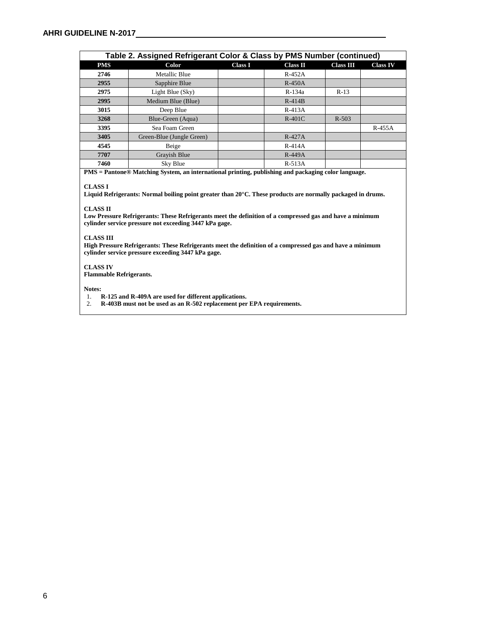| Table 2. Assigned Refrigerant Color & Class by PMS Number (continued) |                           |                |                 |                  |                 |
|-----------------------------------------------------------------------|---------------------------|----------------|-----------------|------------------|-----------------|
| <b>PMS</b>                                                            | Color                     | <b>Class I</b> | <b>Class II</b> | <b>Class III</b> | <b>Class IV</b> |
| 2746                                                                  | <b>Metallic Blue</b>      |                | $R-452A$        |                  |                 |
| 2955                                                                  | Sapphire Blue             |                | $R-450A$        |                  |                 |
| 2975                                                                  | Light Blue (Sky)          |                | R-134a          | $R-13$           |                 |
| 2995                                                                  | Medium Blue (Blue)        |                | $R-414B$        |                  |                 |
| 3015                                                                  | Deep Blue                 |                | $R-413A$        |                  |                 |
| 3268                                                                  | Blue-Green (Aqua)         |                | $R-401C$        | $R - 503$        |                 |
| 3395                                                                  | Sea Foam Green            |                |                 |                  | R-455A          |
| 3405                                                                  | Green-Blue (Jungle Green) |                | $R-427A$        |                  |                 |
| 4545                                                                  | Beige                     |                | $R-414A$        |                  |                 |
| 7707                                                                  | Grayish Blue              |                | $R-449A$        |                  |                 |
| 7460                                                                  | Sky Blue                  |                | $R-513A$        |                  |                 |

**PMS = Pantone® Matching System, an international printing, publishing and packaging color language.**

#### **CLASS I**

**Liquid Refrigerants: Normal boiling point greater than 20°C. These products are normally packaged in drums.**

#### **CLASS II**

**Low Pressure Refrigerants: These Refrigerants meet the definition of a compressed gas and have a minimum cylinder service pressure not exceeding 3447 kPa gage.**

#### **CLASS III**

**High Pressure Refrigerants: These Refrigerants meet the definition of a compressed gas and have a minimum cylinder service pressure exceeding 3447 kPa gage.**

#### **CLASS IV**

**Flammable Refrigerants.**

**Notes:**

1. **R-125 and R-409A are used for different applications.**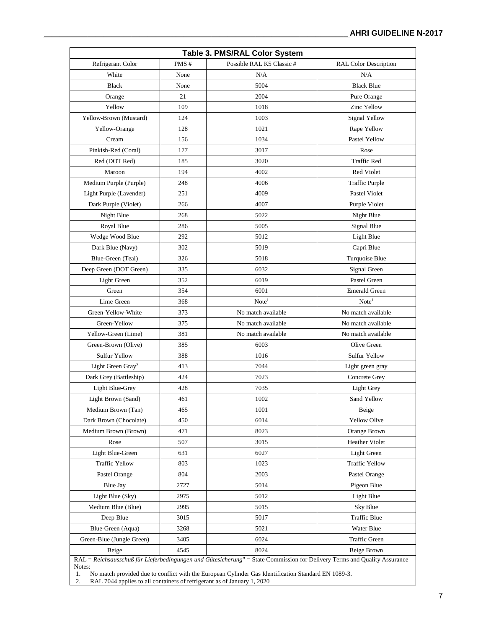| Table 3. PMS/RAL Color System |      |                          |                       |  |  |
|-------------------------------|------|--------------------------|-----------------------|--|--|
| Refrigerant Color             | PMS# | Possible RAL K5 Classic# | RAL Color Description |  |  |
| White                         | None | N/A                      | N/A                   |  |  |
| <b>Black</b>                  | None | 5004                     | <b>Black Blue</b>     |  |  |
| Orange                        | 21   | 2004                     | Pure Orange           |  |  |
| Yellow                        | 109  | 1018                     | Zinc Yellow           |  |  |
| Yellow-Brown (Mustard)        | 124  | 1003                     | Signal Yellow         |  |  |
| Yellow-Orange                 | 128  | 1021                     | Rape Yellow           |  |  |
| Cream                         | 156  | 1034                     | Pastel Yellow         |  |  |
| Pinkish-Red (Coral)           | 177  | 3017                     | Rose                  |  |  |
| Red (DOT Red)                 | 185  | 3020                     | <b>Traffic Red</b>    |  |  |
| Maroon                        | 194  | 4002                     | Red Violet            |  |  |
| Medium Purple (Purple)        | 248  | 4006                     | <b>Traffic Purple</b> |  |  |
| Light Purple (Lavender)       | 251  | 4009                     | Pastel Violet         |  |  |
| Dark Purple (Violet)          | 266  | 4007                     | Purple Violet         |  |  |
| Night Blue                    | 268  | 5022                     | Night Blue            |  |  |
| Royal Blue                    | 286  | 5005                     | Signal Blue           |  |  |
| Wedge Wood Blue               | 292  | 5012                     | Light Blue            |  |  |
| Dark Blue (Navy)              | 302  | 5019                     | Capri Blue            |  |  |
| Blue-Green (Teal)             | 326  | 5018                     | Turquoise Blue        |  |  |
| Deep Green (DOT Green)        | 335  | 6032                     | Signal Green          |  |  |
| Light Green                   | 352  | 6019                     | Pastel Green          |  |  |
| Green                         | 354  | 6001                     | <b>Emerald Green</b>  |  |  |
| Lime Green                    | 368  | Note <sup>1</sup>        | Note <sup>1</sup>     |  |  |
| Green-Yellow-White            | 373  | No match available       | No match available    |  |  |
| Green-Yellow                  | 375  | No match available       | No match available    |  |  |
| Yellow-Green (Lime)           | 381  | No match available       | No match available    |  |  |
| Green-Brown (Olive)           | 385  | 6003                     | Olive Green           |  |  |
| <b>Sulfur Yellow</b>          | 388  | 1016                     | Sulfur Yellow         |  |  |
| Light Green Gray <sup>2</sup> | 413  | 7044                     | Light green gray      |  |  |
| Dark Grey (Battleship)        | 424  | 7023                     | Concrete Grey         |  |  |
| Light Blue-Grey               | 428  | 7035                     | Light Grey            |  |  |
| Light Brown (Sand)            | 461  | 1002                     | Sand Yellow           |  |  |
| Medium Brown (Tan)            | 465  | 1001                     | Beige                 |  |  |
| Dark Brown (Chocolate)        | 450  | 6014                     | Yellow Olive          |  |  |
| Medium Brown (Brown)          | 471  | 8023                     | Orange Brown          |  |  |
| Rose                          | 507  | 3015                     | <b>Heather Violet</b> |  |  |
| Light Blue-Green              | 631  | 6027                     | Light Green           |  |  |
| <b>Traffic Yellow</b>         | 803  | 1023                     | <b>Traffic Yellow</b> |  |  |
| Pastel Orange                 | 804  | 2003                     | Pastel Orange         |  |  |
| <b>Blue Jay</b>               | 2727 | 5014                     | Pigeon Blue           |  |  |
| Light Blue (Sky)              | 2975 | 5012                     | Light Blue            |  |  |
| Medium Blue (Blue)            | 2995 | 5015                     | Sky Blue              |  |  |
| Deep Blue                     | 3015 | 5017                     | Traffic Blue          |  |  |
| Blue-Green (Aqua)             | 3268 | 5021                     | Water Blue            |  |  |
| Green-Blue (Jungle Green)     | 3405 | 6024                     | Traffic Green         |  |  |
| Beige                         | 4545 | 8024                     | Beige Brown           |  |  |

RAL = *Reichsausschuß für Lieferbedingungen und Gütesicherung*" = State Commission for Delivery Terms and Quality Assurance Notes:<br>1. 1

1. No match provided due to conflict with the European Cylinder Gas Identification Standard EN 1089-3.

2. RAL 7044 applies to all containers of refrigerant as of January 1, 2020